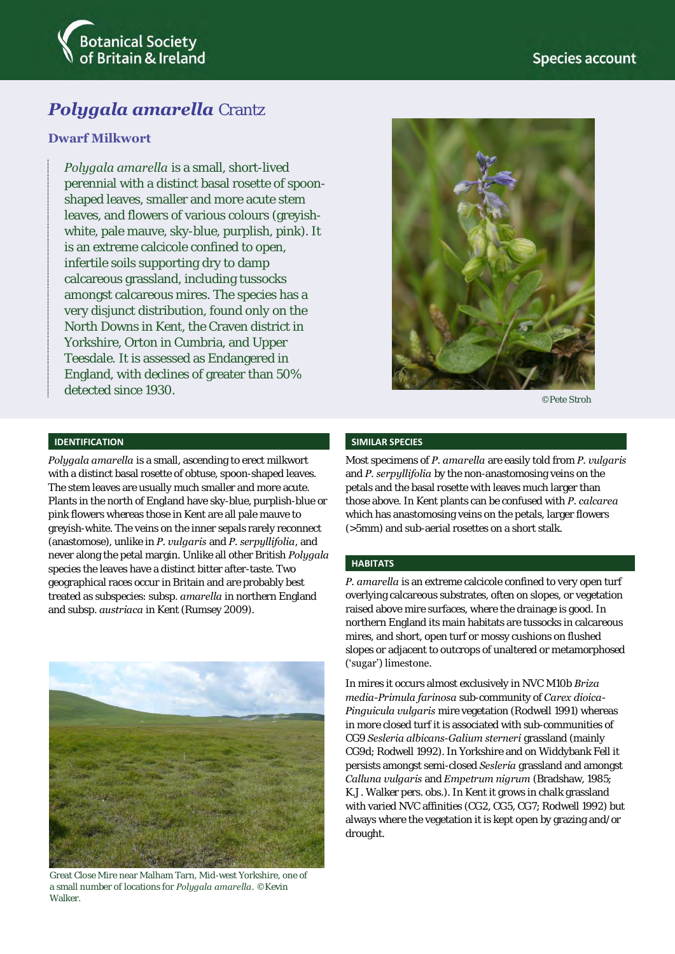

# *Polygala amarella* Crantz

## **Dwarf Milkwort**

*Polygala amarella* is a small, short-lived perennial with a distinct basal rosette of spoonshaped leaves, smaller and more acute stem leaves, and flowers of various colours (greyishwhite, pale mauve, sky-blue, purplish, pink). It is an extreme calcicole confined to open, infertile soils supporting dry to damp calcareous grassland, including tussocks amongst calcareous mires. The species has a very disjunct distribution, found only on the North Downs in Kent, the Craven district in Yorkshire, Orton in Cumbria, and Upper Teesdale. It is assessed as Endangered in England, with declines of greater than 50% detected since 1930.



©Pete Stroh

### **IDENTIFICATION**

*Polygala amarella* is a small, ascending to erect milkwort with a distinct basal rosette of obtuse, spoon-shaped leaves. The stem leaves are usually much smaller and more acute. Plants in the north of England have sky-blue, purplish-blue or pink flowers whereas those in Kent are all pale mauve to greyish-white. The veins on the inner sepals rarely reconnect (anastomose), unlike in *P. vulgaris* and *P. serpyllifolia*, and never along the petal margin. Unlike all other British *Polygala* species the leaves have a distinct bitter after-taste. Two geographical races occur in Britain and are probably best treated as subspecies: subsp. *amarella* in northern England and subsp. *austriaca* in Kent (Rumsey 2009).



Great Close Mire near Malham Tarn, Mid-west Yorkshire, one of a small number of locations for *Polygala amarella*. ©Kevin **Walker** 

#### **SIMILAR SPECIES**

Most specimens of *P. amarella* are easily told from *P. vulgaris* and *P. serpyllifolia* by the non-anastomosing veins on the petals and the basal rosette with leaves much larger than those above. In Kent plants can be confused with *P. calcarea* which has anastomosing veins on the petals, larger flowers (>5mm) and sub-aerial rosettes on a short stalk.

#### **HABITATS**

*P. amarella* is an extreme calcicole confined to very open turf overlying calcareous substrates, often on slopes, or vegetation raised above mire surfaces, where the drainage is good. In northern England its main habitats are tussocks in calcareous mires, and short, open turf or mossy cushions on flushed slopes or adjacent to outcrops of unaltered or metamorphosed ('sugar') limestone.

In mires it occurs almost exclusively in NVC M10b *Briza media-Primula farinosa* sub-community of *Carex dioica-Pinguicula vulgaris* mire vegetation (Rodwell 1991) whereas in more closed turf it is associated with sub-communities of CG9 *Sesleria albicans*-*Galium sterneri* grassland (mainly CG9d; Rodwell 1992). In Yorkshire and on Widdybank Fell it persists amongst semi-closed *Sesleria* grassland and amongst *Calluna vulgaris* and *Empetrum nigrum* (Bradshaw, 1985; K.J. Walker pers. obs.). In Kent it grows in chalk grassland with varied NVC affinities (CG2, CG5, CG7; Rodwell 1992) but always where the vegetation it is kept open by grazing and/or drought.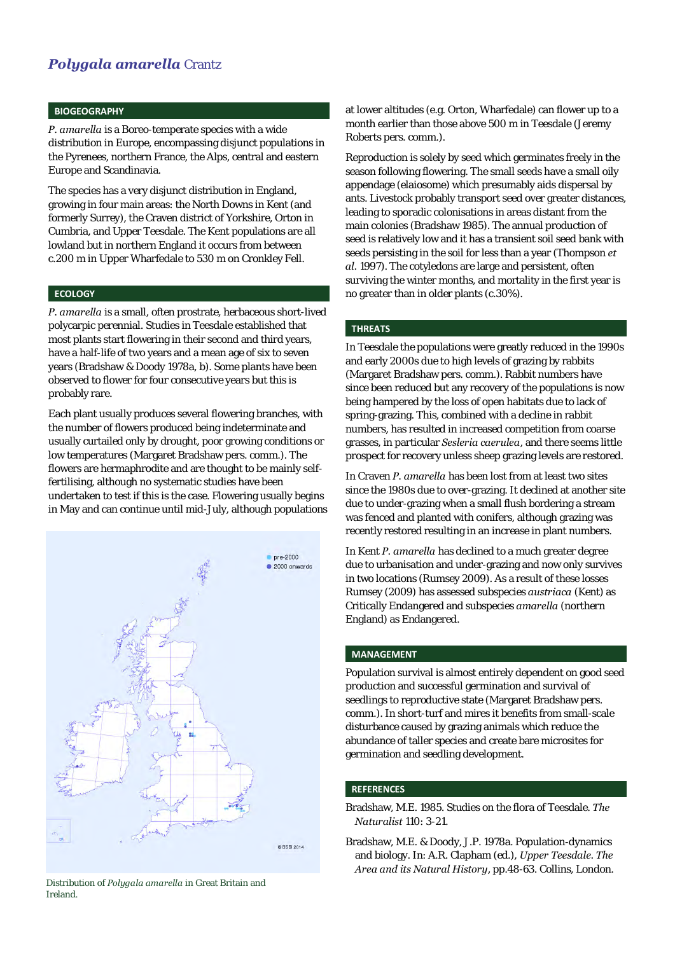## *Polygala amarella* Crantz

### **BIOGEOGRAPHY**

*P. amarella* is a Boreo-temperate species with a wide distribution in Europe, encompassing disjunct populations in the Pyrenees, northern France, the Alps, central and eastern Europe and Scandinavia.

The species has a very disjunct distribution in England, growing in four main areas: the North Downs in Kent (and formerly Surrey), the Craven district of Yorkshire, Orton in Cumbria, and Upper Teesdale. The Kent populations are all lowland but in northern England it occurs from between c.200 m in Upper Wharfedale to 530 m on Cronkley Fell.

### **ECOLOGY**

*P. amarella* is a small, often prostrate, herbaceous short-lived polycarpic perennial. Studies in Teesdale established that most plants start flowering in their second and third years, have a half-life of two years and a mean age of six to seven years (Bradshaw & Doody 1978a, b). Some plants have been observed to flower for four consecutive years but this is probably rare.

Each plant usually produces several flowering branches, with the number of flowers produced being indeterminate and usually curtailed only by drought, poor growing conditions or low temperatures (Margaret Bradshaw pers. comm.). The flowers are hermaphrodite and are thought to be mainly selffertilising, although no systematic studies have been undertaken to test if this is the case. Flowering usually begins in May and can continue until mid-July, although populations



Distribution of *Polygala amarella* in Great Britain and Ireland.

at lower altitudes (e.g. Orton, Wharfedale) can flower up to a month earlier than those above 500 m in Teesdale (Jeremy Roberts pers. comm.).

Reproduction is solely by seed which germinates freely in the season following flowering. The small seeds have a small oily appendage (elaiosome) which presumably aids dispersal by ants. Livestock probably transport seed over greater distances, leading to sporadic colonisations in areas distant from the main colonies (Bradshaw 1985). The annual production of seed is relatively low and it has a transient soil seed bank with seeds persisting in the soil for less than a year (Thompson *et al.* 1997). The cotyledons are large and persistent, often surviving the winter months, and mortality in the first year is no greater than in older plants (c.30%).

#### **THREATS**

In Teesdale the populations were greatly reduced in the 1990s and early 2000s due to high levels of grazing by rabbits (Margaret Bradshaw pers. comm.). Rabbit numbers have since been reduced but any recovery of the populations is now being hampered by the loss of open habitats due to lack of spring-grazing. This, combined with a decline in rabbit numbers, has resulted in increased competition from coarse grasses, in particular *Sesleria caerulea*, and there seems little prospect for recovery unless sheep grazing levels are restored.

In Craven *P. amarella* has been lost from at least two sites since the 1980s due to over-grazing. It declined at another site due to under-grazing when a small flush bordering a stream was fenced and planted with conifers, although grazing was recently restored resulting in an increase in plant numbers.

In Kent *P. amarella* has declined to a much greater degree due to urbanisation and under-grazing and now only survives in two locations (Rumsey 2009). As a result of these losses Rumsey (2009) has assessed subspecies *austriaca* (Kent) as Critically Endangered and subspecies *amarella* (northern England) as Endangered.

### **MANAGEMENT**

Population survival is almost entirely dependent on good seed production and successful germination and survival of seedlings to reproductive state (Margaret Bradshaw pers. comm.). In short-turf and mires it benefits from small-scale disturbance caused by grazing animals which reduce the abundance of taller species and create bare microsites for germination and seedling development.

#### **REFERENCES**

Bradshaw, M.E. 1985. Studies on the flora of Teesdale. *The Naturalist* 110: 3-21.

Bradshaw, M.E. & Doody, J.P. 1978a. Population-dynamics and biology. In: A.R. Clapham (ed.), *Upper Teesdale. The Area and its Natural History*, pp.48-63. Collins, London.